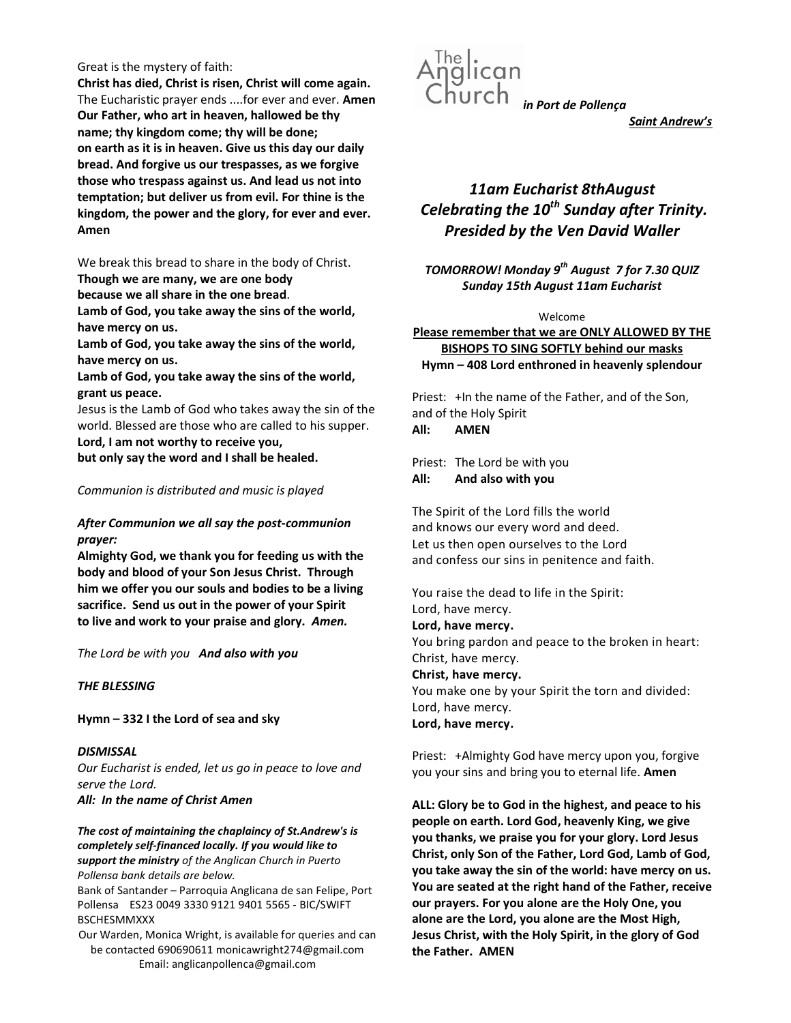#### Great is the mystery of faith:

Christ has died, Christ is risen, Christ will come again. The Eucharistic prayer ends ....for ever and ever. Amen Our Father, who art in heaven, hallowed be thy name; thy kingdom come; thy will be done; on earth as it is in heaven. Give us this day our daily bread. And forgive us our trespasses, as we forgive those who trespass against us. And lead us not into temptation; but deliver us from evil. For thine is the kingdom, the power and the glory, for ever and ever. Amen

We break this bread to share in the body of Christ.

Though we are many, we are one body

because we all share in the one bread.

Lamb of God, you take away the sins of the world, have mercy on us.

Lamb of God, you take away the sins of the world, have mercy on us.

Lamb of God, you take away the sins of the world, grant us peace.

Jesus is the Lamb of God who takes away the sin of the world. Blessed are those who are called to his supper. Lord, I am not worthy to receive you,

but only say the word and I shall be healed.

# Communion is distributed and music is played

# After Communion we all say the post-communion prayer:

Almighty God, we thank you for feeding us with the body and blood of your Son Jesus Christ. Through him we offer you our souls and bodies to be a living sacrifice. Send us out in the power of your Spirit to live and work to your praise and glory. Amen.

The Lord be with you And also with you

# THE BLESSING

Hymn – 332 I the Lord of sea and sky

**DISMISSAL** Our Eucharist is ended, let us go in peace to love and serve the Lord.

All: In the name of Christ Amen

The cost of maintaining the chaplaincy of St.Andrew's is completely self-financed locally. If you would like to support the ministry of the Anglican Church in Puerto Pollensa bank details are below.

Bank of Santander – Parroquia Anglicana de san Felipe, Port Pollensa ES23 0049 3330 9121 9401 5565 - BIC/SWIFT BSCHESMMXXX

Our Warden, Monica Wright, is available for queries and can be contacted 690690611 monicawright274@gmail.com Email: anglicanpollenca@gmail.com



Saint Andrew's

# 11am Eucharist 8thAugust Celebrating the  $10^{th}$  Sunday after Trinity. Presided by the Ven David Waller

TOMORROW! Monday  $9^{th}$  August 7 for 7.30 QUIZ Sunday 15th August 11am Eucharist

Welcome

Please remember that we are ONLY ALLOWED BY THE BISHOPS TO SING SOFTLY behind our masks Hymn – 408 Lord enthroned in heavenly splendour

Priest: +In the name of the Father, and of the Son, and of the Holy Spirit All: AMEN

Priest: The Lord be with you All: And also with you

The Spirit of the Lord fills the world and knows our every word and deed. Let us then open ourselves to the Lord and confess our sins in penitence and faith.

You raise the dead to life in the Spirit: Lord, have mercy. Lord, have mercy. You bring pardon and peace to the broken in heart: Christ, have mercy. Christ, have mercy. You make one by your Spirit the torn and divided: Lord, have mercy. Lord, have mercy.

Priest: +Almighty God have mercy upon you, forgive you your sins and bring you to eternal life. Amen

ALL: Glory be to God in the highest, and peace to his people on earth. Lord God, heavenly King, we give you thanks, we praise you for your glory. Lord Jesus Christ, only Son of the Father, Lord God, Lamb of God, you take away the sin of the world: have mercy on us. You are seated at the right hand of the Father, receive our prayers. For you alone are the Holy One, you alone are the Lord, you alone are the Most High, Jesus Christ, with the Holy Spirit, in the glory of God the Father. AMEN